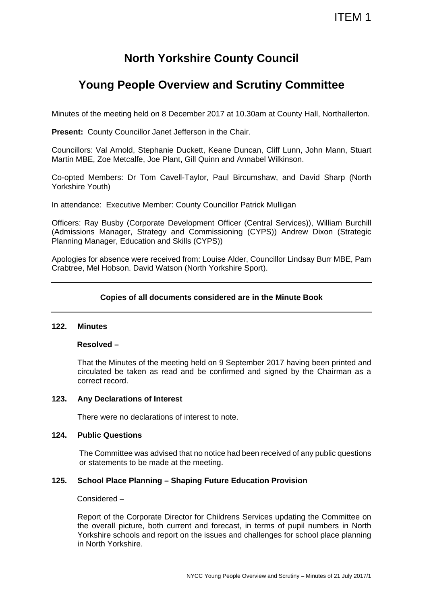# **North Yorkshire County Council**

# **Young People Overview and Scrutiny Committee**

Minutes of the meeting held on 8 December 2017 at 10.30am at County Hall, Northallerton.

**Present: County Councillor Janet Jefferson in the Chair.** 

Councillors: Val Arnold, Stephanie Duckett, Keane Duncan, Cliff Lunn, John Mann, Stuart Martin MBE, Zoe Metcalfe, Joe Plant, Gill Quinn and Annabel Wilkinson.

Co-opted Members: Dr Tom Cavell-Taylor, Paul Bircumshaw, and David Sharp (North Yorkshire Youth)

In attendance: Executive Member: County Councillor Patrick Mulligan

Officers: Ray Busby (Corporate Development Officer (Central Services)), William Burchill (Admissions Manager, Strategy and Commissioning (CYPS)) Andrew Dixon (Strategic Planning Manager, Education and Skills (CYPS))

Apologies for absence were received from: Louise Alder, Councillor Lindsay Burr MBE, Pam Crabtree, Mel Hobson. David Watson (North Yorkshire Sport).

# **Copies of all documents considered are in the Minute Book**

#### **122. Minutes**

#### **Resolved –**

That the Minutes of the meeting held on 9 September 2017 having been printed and circulated be taken as read and be confirmed and signed by the Chairman as a correct record.

#### **123. Any Declarations of Interest**

There were no declarations of interest to note.

### **124. Public Questions**

The Committee was advised that no notice had been received of any public questions or statements to be made at the meeting.

#### **125. School Place Planning – Shaping Future Education Provision**

Considered –

Report of the Corporate Director for Childrens Services updating the Committee on the overall picture, both current and forecast, in terms of pupil numbers in North Yorkshire schools and report on the issues and challenges for school place planning in North Yorkshire.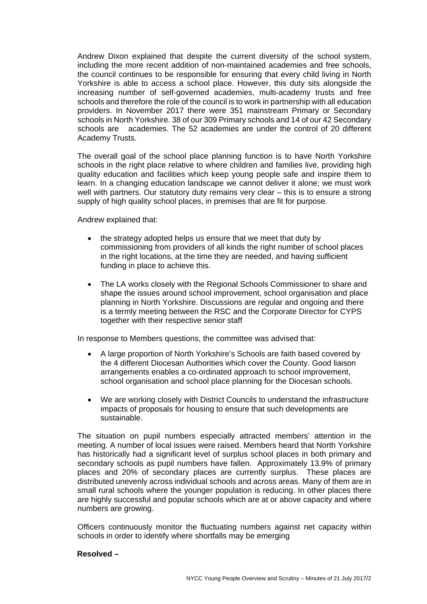Andrew Dixon explained that despite the current diversity of the school system, including the more recent addition of non-maintained academies and free schools, the council continues to be responsible for ensuring that every child living in North Yorkshire is able to access a school place. However, this duty sits alongside the increasing number of self-governed academies, multi-academy trusts and free schools and therefore the role of the council is to work in partnership with all education providers. In November 2017 there were 351 mainstream Primary or Secondary schools in North Yorkshire. 38 of our 309 Primary schools and 14 of our 42 Secondary schools are academies. The 52 academies are under the control of 20 different Academy Trusts.

The overall goal of the school place planning function is to have North Yorkshire schools in the right place relative to where children and families live, providing high quality education and facilities which keep young people safe and inspire them to learn. In a changing education landscape we cannot deliver it alone; we must work well with partners. Our statutory duty remains very clear – this is to ensure a strong supply of high quality school places, in premises that are fit for purpose.

Andrew explained that:

- the strategy adopted helps us ensure that we meet that duty by commissioning from providers of all kinds the right number of school places in the right locations, at the time they are needed, and having sufficient funding in place to achieve this.
- The LA works closely with the Regional Schools Commissioner to share and shape the issues around school improvement, school organisation and place planning in North Yorkshire. Discussions are regular and ongoing and there is a termly meeting between the RSC and the Corporate Director for CYPS together with their respective senior staff

In response to Members questions, the committee was advised that:

- A large proportion of North Yorkshire's Schools are faith based covered by the 4 different Diocesan Authorities which cover the County. Good liaison arrangements enables a co-ordinated approach to school improvement, school organisation and school place planning for the Diocesan schools.
- We are working closely with District Councils to understand the infrastructure impacts of proposals for housing to ensure that such developments are sustainable.

The situation on pupil numbers especially attracted members' attention in the meeting. A number of local issues were raised. Members heard that North Yorkshire has historically had a significant level of surplus school places in both primary and secondary schools as pupil numbers have fallen. Approximately 13.9% of primary places and 20% of secondary places are currently surplus. These places are distributed unevenly across individual schools and across areas. Many of them are in small rural schools where the younger population is reducing. In other places there are highly successful and popular schools which are at or above capacity and where numbers are growing.

Officers continuously monitor the fluctuating numbers against net capacity within schools in order to identify where shortfalls may be emerging

# **Resolved –**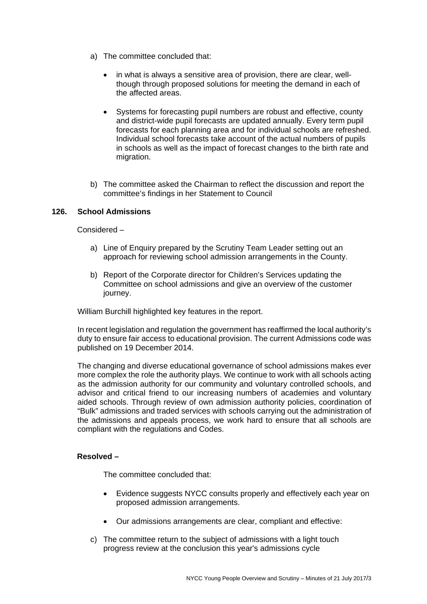- a) The committee concluded that:
	- in what is always a sensitive area of provision, there are clear, wellthough through proposed solutions for meeting the demand in each of the affected areas.
	- Systems for forecasting pupil numbers are robust and effective, county and district-wide pupil forecasts are updated annually. Every term pupil forecasts for each planning area and for individual schools are refreshed. Individual school forecasts take account of the actual numbers of pupils in schools as well as the impact of forecast changes to the birth rate and migration.
- b) The committee asked the Chairman to reflect the discussion and report the committee's findings in her Statement to Council

## **126. School Admissions**

Considered –

- a) Line of Enquiry prepared by the Scrutiny Team Leader setting out an approach for reviewing school admission arrangements in the County.
- b) Report of the Corporate director for Children's Services updating the Committee on school admissions and give an overview of the customer journey.

William Burchill highlighted key features in the report.

In recent legislation and regulation the government has reaffirmed the local authority's duty to ensure fair access to educational provision. The current Admissions code was published on 19 December 2014.

The changing and diverse educational governance of school admissions makes ever more complex the role the authority plays. We continue to work with all schools acting as the admission authority for our community and voluntary controlled schools, and advisor and critical friend to our increasing numbers of academies and voluntary aided schools. Through review of own admission authority policies, coordination of "Bulk" admissions and traded services with schools carrying out the administration of the admissions and appeals process, we work hard to ensure that all schools are compliant with the regulations and Codes.

#### **Resolved –**

The committee concluded that:

- Evidence suggests NYCC consults properly and effectively each year on proposed admission arrangements.
- Our admissions arrangements are clear, compliant and effective:
- c) The committee return to the subject of admissions with a light touch progress review at the conclusion this year's admissions cycle